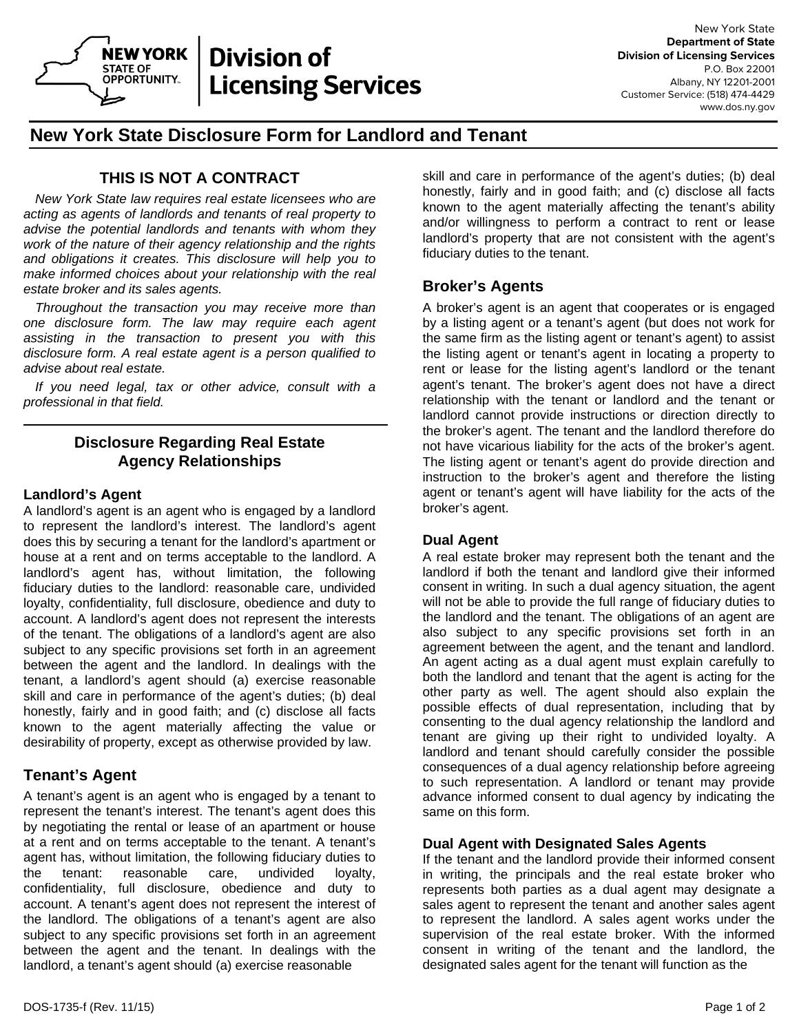**Division of Licensing Services** 

New York State **Department of State Division of Licensing Services**  P.O. Box 22001 Albany, NY 12201-2001 Customer Service: (518) 474-4429 www.dos.ny.gov

# **New York State Disclosure Form for Landlord and Tenant**

## **THIS IS NOT A CONTRACT**

**NEW YORK** 

**STATE OF OPPORTUNITY.** 

*New York State law requires real estate licensees who are acting as agents of landlords and tenants of real property to advise the potential landlords and tenants with whom they work of the nature of their agency relationship and the rights and obligations it creates. This disclosure will help you to make informed choices about your relationship with the real estate broker and its sales agents.* 

 *Throughout the transaction you may receive more than one disclosure form. The law may require each agent assisting in the transaction to present you with this disclosure form. A real estate agent is a person qualified to advise about real estate.* 

 *If you need legal, tax or other advice, consult with a professional in that field.*

### **Disclosure Regarding Real Estate Agency Relationships**

#### **Landlord's Agent**

A landlord's agent is an agent who is engaged by a landlord to represent the landlord's interest. The landlord's agent does this by securing a tenant for the landlord's apartment or house at a rent and on terms acceptable to the landlord. A landlord's agent has, without limitation, the following fiduciary duties to the landlord: reasonable care, undivided loyalty, confidentiality, full disclosure, obedience and duty to account. A landlord's agent does not represent the interests of the tenant. The obligations of a landlord's agent are also subject to any specific provisions set forth in an agreement between the agent and the landlord. In dealings with the tenant, a landlord's agent should (a) exercise reasonable skill and care in performance of the agent's duties; (b) deal honestly, fairly and in good faith; and (c) disclose all facts known to the agent materially affecting the value or desirability of property, except as otherwise provided by law.

## **Tenant's Agent**

A tenant's agent is an agent who is engaged by a tenant to represent the tenant's interest. The tenant's agent does this by negotiating the rental or lease of an apartment or house at a rent and on terms acceptable to the tenant. A tenant's agent has, without limitation, the following fiduciary duties to the tenant: reasonable care, undivided loyalty, confidentiality, full disclosure, obedience and duty to account. A tenant's agent does not represent the interest of the landlord. The obligations of a tenant's agent are also subject to any specific provisions set forth in an agreement between the agent and the tenant. In dealings with the landlord, a tenant's agent should (a) exercise reasonable

skill and care in performance of the agent's duties; (b) deal honestly, fairly and in good faith; and (c) disclose all facts known to the agent materially affecting the tenant's ability and/or willingness to perform a contract to rent or lease landlord's property that are not consistent with the agent's fiduciary duties to the tenant.

### **Broker's Agents**

A broker's agent is an agent that cooperates or is engaged by a listing agent or a tenant's agent (but does not work for the same firm as the listing agent or tenant's agent) to assist the listing agent or tenant's agent in locating a property to rent or lease for the listing agent's landlord or the tenant agent's tenant. The broker's agent does not have a direct relationship with the tenant or landlord and the tenant or landlord cannot provide instructions or direction directly to the broker's agent. The tenant and the landlord therefore do not have vicarious liability for the acts of the broker's agent. The listing agent or tenant's agent do provide direction and instruction to the broker's agent and therefore the listing agent or tenant's agent will have liability for the acts of the broker's agent.

### **Dual Agent**

A real estate broker may represent both the tenant and the landlord if both the tenant and landlord give their informed consent in writing. In such a dual agency situation, the agent will not be able to provide the full range of fiduciary duties to the landlord and the tenant. The obligations of an agent are also subject to any specific provisions set forth in an agreement between the agent, and the tenant and landlord. An agent acting as a dual agent must explain carefully to both the landlord and tenant that the agent is acting for the other party as well. The agent should also explain the possible effects of dual representation, including that by consenting to the dual agency relationship the landlord and tenant are giving up their right to undivided loyalty. A landlord and tenant should carefully consider the possible consequences of a dual agency relationship before agreeing to such representation. A landlord or tenant may provide advance informed consent to dual agency by indicating the same on this form.

### **Dual Agent with Designated Sales Agents**

If the tenant and the landlord provide their informed consent in writing, the principals and the real estate broker who represents both parties as a dual agent may designate a sales agent to represent the tenant and another sales agent to represent the landlord. A sales agent works under the supervision of the real estate broker. With the informed consent in writing of the tenant and the landlord, the designated sales agent for the tenant will function as the